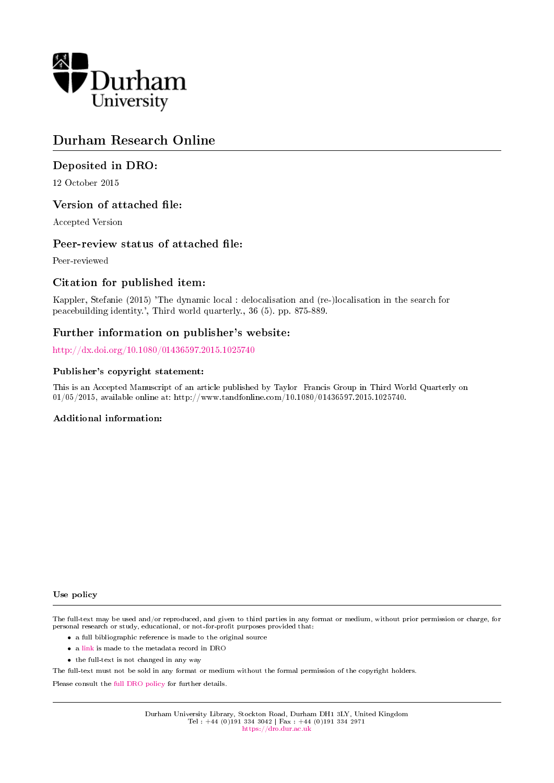

# Durham Research Online

# Deposited in DRO:

12 October 2015

# Version of attached file:

Accepted Version

# Peer-review status of attached file:

Peer-reviewed

# Citation for published item:

Kappler, Stefanie (2015) 'The dynamic local : delocalisation and (re-)localisation in the search for peacebuilding identity.', Third world quarterly., 36 (5). pp. 875-889.

# Further information on publisher's website:

<http://dx.doi.org/10.1080/01436597.2015.1025740>

#### Publisher's copyright statement:

This is an Accepted Manuscript of an article published by Taylor Francis Group in Third World Quarterly on 01/05/2015, available online at: http://www.tandfonline.com/10.1080/01436597.2015.1025740.

#### Additional information:

#### Use policy

The full-text may be used and/or reproduced, and given to third parties in any format or medium, without prior permission or charge, for personal research or study, educational, or not-for-profit purposes provided that:

- a full bibliographic reference is made to the original source
- a [link](http://dro.dur.ac.uk/16578/) is made to the metadata record in DRO
- the full-text is not changed in any way

The full-text must not be sold in any format or medium without the formal permission of the copyright holders.

Please consult the [full DRO policy](https://dro.dur.ac.uk/policies/usepolicy.pdf) for further details.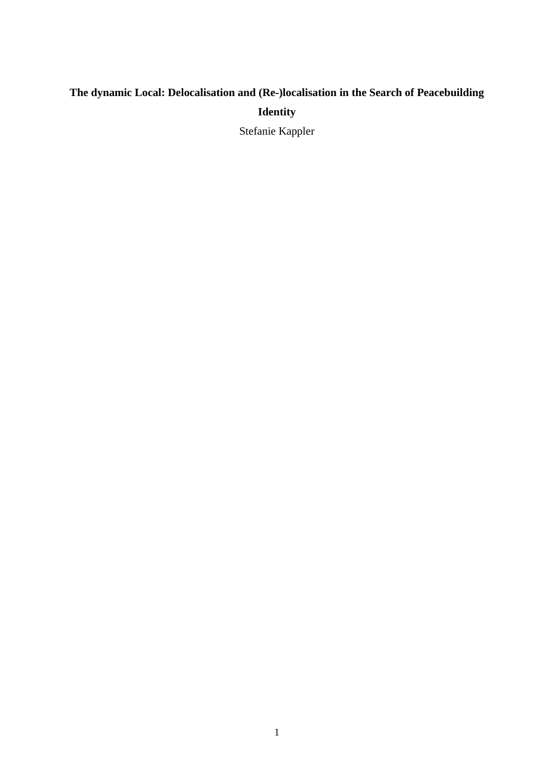# **The dynamic Local: Delocalisation and (Re-)localisation in the Search of Peacebuilding Identity**

Stefanie Kappler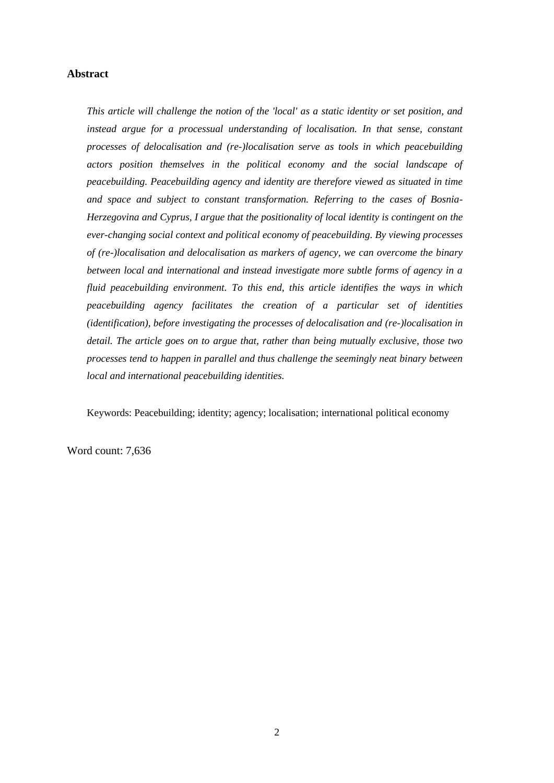#### **Abstract**

*This article will challenge the notion of the 'local' as a static identity or set position, and instead argue for a processual understanding of localisation. In that sense, constant processes of delocalisation and (re-)localisation serve as tools in which peacebuilding actors position themselves in the political economy and the social landscape of peacebuilding. Peacebuilding agency and identity are therefore viewed as situated in time and space and subject to constant transformation. Referring to the cases of Bosnia-Herzegovina and Cyprus, I argue that the positionality of local identity is contingent on the ever-changing social context and political economy of peacebuilding. By viewing processes of (re-)localisation and delocalisation as markers of agency, we can overcome the binary between local and international and instead investigate more subtle forms of agency in a fluid peacebuilding environment. To this end, this article identifies the ways in which peacebuilding agency facilitates the creation of a particular set of identities (identification), before investigating the processes of delocalisation and (re-)localisation in detail. The article goes on to argue that, rather than being mutually exclusive, those two processes tend to happen in parallel and thus challenge the seemingly neat binary between local and international peacebuilding identities.* 

Keywords: Peacebuilding; identity; agency; localisation; international political economy

Word count: 7,636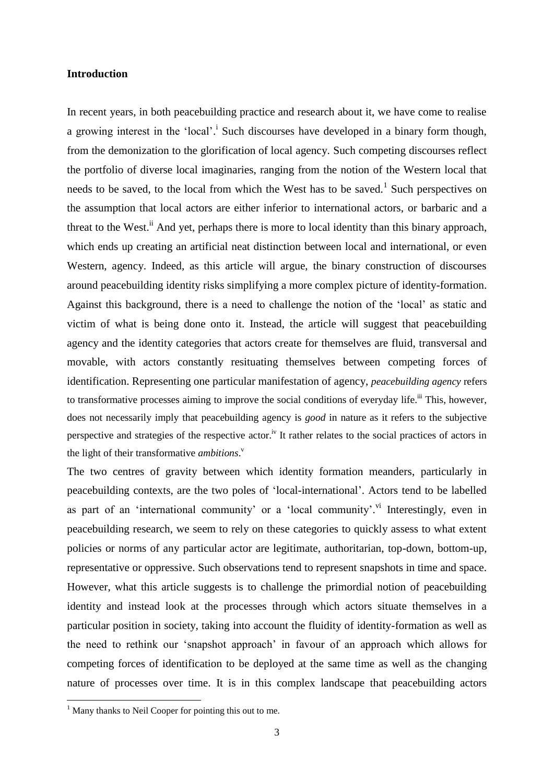#### **Introduction**

In recent years, in both peacebuilding practice and research about it, we have come to realise a growing interest in the 'local'.<sup>i</sup> Such discourses have developed in a binary form though, from the demonization to the glorification of local agency. Such competing discourses reflect the portfolio of diverse local imaginaries, ranging from the notion of the Western local that needs to be saved, to the local from which the West has to be saved.<sup>1</sup> Such perspectives on the assumption that local actors are either inferior to international actors, or barbaric and a threat to the West.<sup>ii</sup> And yet, perhaps there is more to local identity than this binary approach, which ends up creating an artificial neat distinction between local and international, or even Western, agency. Indeed, as this article will argue, the binary construction of discourses around peacebuilding identity risks simplifying a more complex picture of identity-formation. Against this background, there is a need to challenge the notion of the 'local' as static and victim of what is being done onto it. Instead, the article will suggest that peacebuilding agency and the identity categories that actors create for themselves are fluid, transversal and movable, with actors constantly resituating themselves between competing forces of identification. Representing one particular manifestation of agency, *peacebuilding agency* refers to transformative processes aiming to improve the social conditions of everyday life.<sup>iii</sup> This, however, does not necessarily imply that peacebuilding agency is *good* in nature as it refers to the subjective perspective and strategies of the respective actor.<sup>iv</sup> It rather relates to the social practices of actors in the light of their transformative *ambitions*. v

The two centres of gravity between which identity formation meanders, particularly in peacebuilding contexts, are the two poles of 'local-international'. Actors tend to be labelled as part of an 'international community' or a 'local community'.<sup>vi</sup> Interestingly, even in peacebuilding research, we seem to rely on these categories to quickly assess to what extent policies or norms of any particular actor are legitimate, authoritarian, top-down, bottom-up, representative or oppressive. Such observations tend to represent snapshots in time and space. However, what this article suggests is to challenge the primordial notion of peacebuilding identity and instead look at the processes through which actors situate themselves in a particular position in society, taking into account the fluidity of identity-formation as well as the need to rethink our 'snapshot approach' in favour of an approach which allows for competing forces of identification to be deployed at the same time as well as the changing nature of processes over time. It is in this complex landscape that peacebuilding actors

**.** 

<sup>&</sup>lt;sup>1</sup> Many thanks to Neil Cooper for pointing this out to me.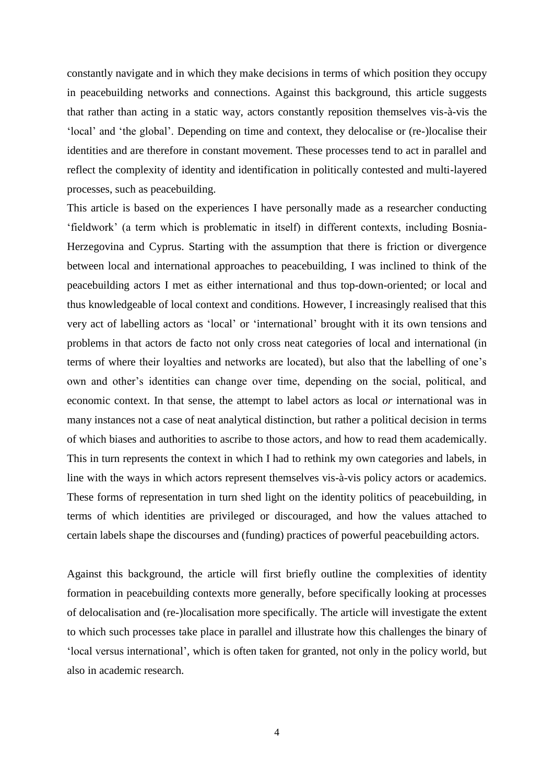constantly navigate and in which they make decisions in terms of which position they occupy in peacebuilding networks and connections. Against this background, this article suggests that rather than acting in a static way, actors constantly reposition themselves vis-à-vis the 'local' and 'the global'. Depending on time and context, they delocalise or (re-)localise their identities and are therefore in constant movement. These processes tend to act in parallel and reflect the complexity of identity and identification in politically contested and multi-layered processes, such as peacebuilding.

This article is based on the experiences I have personally made as a researcher conducting 'fieldwork' (a term which is problematic in itself) in different contexts, including Bosnia-Herzegovina and Cyprus. Starting with the assumption that there is friction or divergence between local and international approaches to peacebuilding, I was inclined to think of the peacebuilding actors I met as either international and thus top-down-oriented; or local and thus knowledgeable of local context and conditions. However, I increasingly realised that this very act of labelling actors as 'local' or 'international' brought with it its own tensions and problems in that actors de facto not only cross neat categories of local and international (in terms of where their loyalties and networks are located), but also that the labelling of one's own and other's identities can change over time, depending on the social, political, and economic context. In that sense, the attempt to label actors as local *or* international was in many instances not a case of neat analytical distinction, but rather a political decision in terms of which biases and authorities to ascribe to those actors, and how to read them academically. This in turn represents the context in which I had to rethink my own categories and labels, in line with the ways in which actors represent themselves vis-à-vis policy actors or academics. These forms of representation in turn shed light on the identity politics of peacebuilding, in terms of which identities are privileged or discouraged, and how the values attached to certain labels shape the discourses and (funding) practices of powerful peacebuilding actors.

Against this background, the article will first briefly outline the complexities of identity formation in peacebuilding contexts more generally, before specifically looking at processes of delocalisation and (re-)localisation more specifically. The article will investigate the extent to which such processes take place in parallel and illustrate how this challenges the binary of 'local versus international', which is often taken for granted, not only in the policy world, but also in academic research.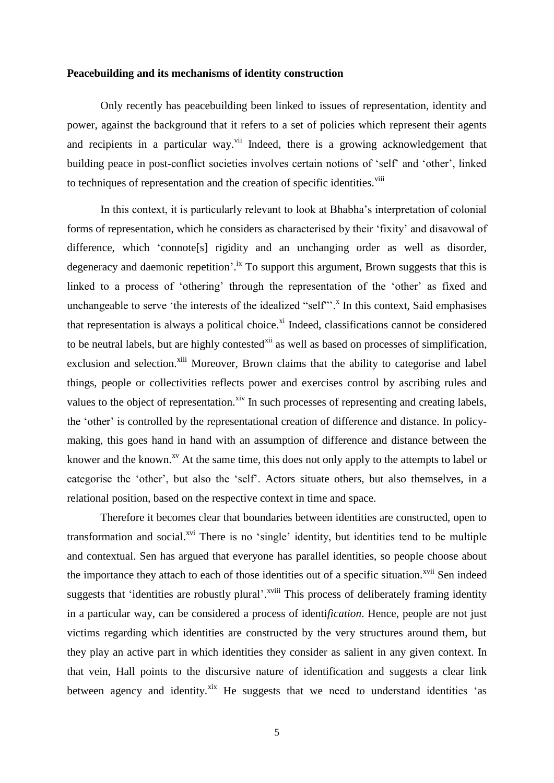#### **Peacebuilding and its mechanisms of identity construction**

Only recently has peacebuilding been linked to issues of representation, identity and power, against the background that it refers to a set of policies which represent their agents and recipients in a particular way.<sup>vii</sup> Indeed, there is a growing acknowledgement that building peace in post-conflict societies involves certain notions of 'self' and 'other', linked to techniques of representation and the creation of specific identities.<sup>Viii</sup>

In this context, it is particularly relevant to look at Bhabha's interpretation of colonial forms of representation, which he considers as characterised by their 'fixity' and disavowal of difference, which 'connote[s] rigidity and an unchanging order as well as disorder, degeneracy and daemonic repetition<sup>'</sup>.<sup>ix</sup> To support this argument, Brown suggests that this is linked to a process of 'othering' through the representation of the 'other' as fixed and unchangeable to serve 'the interests of the idealized "self"'.<sup>x</sup> In this context, Said emphasises that representation is always a political choice.<sup>xi</sup> Indeed, classifications cannot be considered to be neutral labels, but are highly contested<sup>xii</sup> as well as based on processes of simplification, exclusion and selection.<sup>xiii</sup> Moreover, Brown claims that the ability to categorise and label things, people or collectivities reflects power and exercises control by ascribing rules and values to the object of representation.<sup>xiv</sup> In such processes of representing and creating labels, the 'other' is controlled by the representational creation of difference and distance. In policymaking, this goes hand in hand with an assumption of difference and distance between the knower and the known.<sup>xv</sup> At the same time, this does not only apply to the attempts to label or categorise the 'other', but also the 'self'. Actors situate others, but also themselves, in a relational position, based on the respective context in time and space.

Therefore it becomes clear that boundaries between identities are constructed, open to transformation and social. $x^{vi}$  There is no 'single' identity, but identities tend to be multiple and contextual. Sen has argued that everyone has parallel identities, so people choose about the importance they attach to each of those identities out of a specific situation.<sup>xvii</sup> Sen indeed suggests that 'identities are robustly plural'.<sup>xviii</sup> This process of deliberately framing identity in a particular way, can be considered a process of identi*fication*. Hence, people are not just victims regarding which identities are constructed by the very structures around them, but they play an active part in which identities they consider as salient in any given context. In that vein, Hall points to the discursive nature of identification and suggests a clear link between agency and identity.<sup>xix</sup> He suggests that we need to understand identities 'as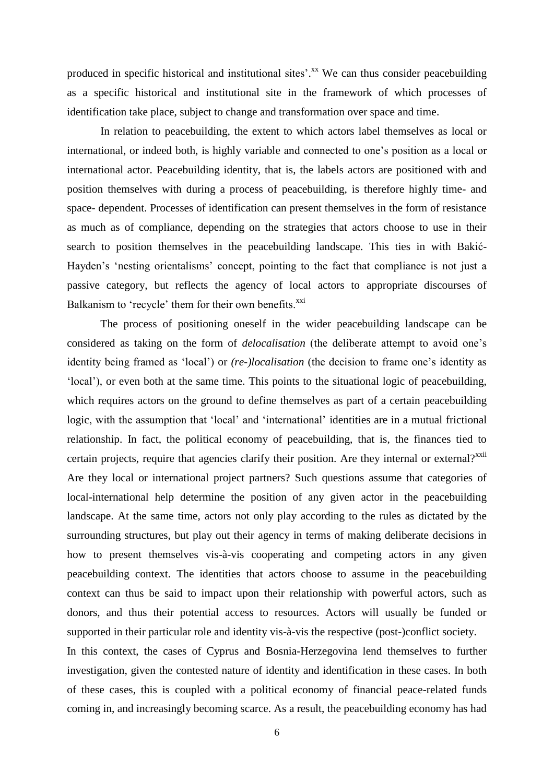produced in specific historical and institutional sites'.<sup>xx</sup> We can thus consider peacebuilding as a specific historical and institutional site in the framework of which processes of identification take place, subject to change and transformation over space and time.

In relation to peacebuilding, the extent to which actors label themselves as local or international, or indeed both, is highly variable and connected to one's position as a local or international actor. Peacebuilding identity, that is, the labels actors are positioned with and position themselves with during a process of peacebuilding, is therefore highly time- and space- dependent. Processes of identification can present themselves in the form of resistance as much as of compliance, depending on the strategies that actors choose to use in their search to position themselves in the peacebuilding landscape. This ties in with Bakić-Hayden's 'nesting orientalisms' concept, pointing to the fact that compliance is not just a passive category, but reflects the agency of local actors to appropriate discourses of Balkanism to 'recycle' them for their own benefits.<sup>xxi</sup>

The process of positioning oneself in the wider peacebuilding landscape can be considered as taking on the form of *delocalisation* (the deliberate attempt to avoid one's identity being framed as 'local') or *(re-)localisation* (the decision to frame one's identity as 'local'), or even both at the same time. This points to the situational logic of peacebuilding, which requires actors on the ground to define themselves as part of a certain peacebuilding logic, with the assumption that 'local' and 'international' identities are in a mutual frictional relationship. In fact, the political economy of peacebuilding, that is, the finances tied to certain projects, require that agencies clarify their position. Are they internal or external?<sup>xxii</sup> Are they local or international project partners? Such questions assume that categories of local-international help determine the position of any given actor in the peacebuilding landscape. At the same time, actors not only play according to the rules as dictated by the surrounding structures, but play out their agency in terms of making deliberate decisions in how to present themselves vis-à-vis cooperating and competing actors in any given peacebuilding context. The identities that actors choose to assume in the peacebuilding context can thus be said to impact upon their relationship with powerful actors, such as donors, and thus their potential access to resources. Actors will usually be funded or supported in their particular role and identity vis-à-vis the respective (post-)conflict society.

In this context, the cases of Cyprus and Bosnia-Herzegovina lend themselves to further investigation, given the contested nature of identity and identification in these cases. In both of these cases, this is coupled with a political economy of financial peace-related funds coming in, and increasingly becoming scarce. As a result, the peacebuilding economy has had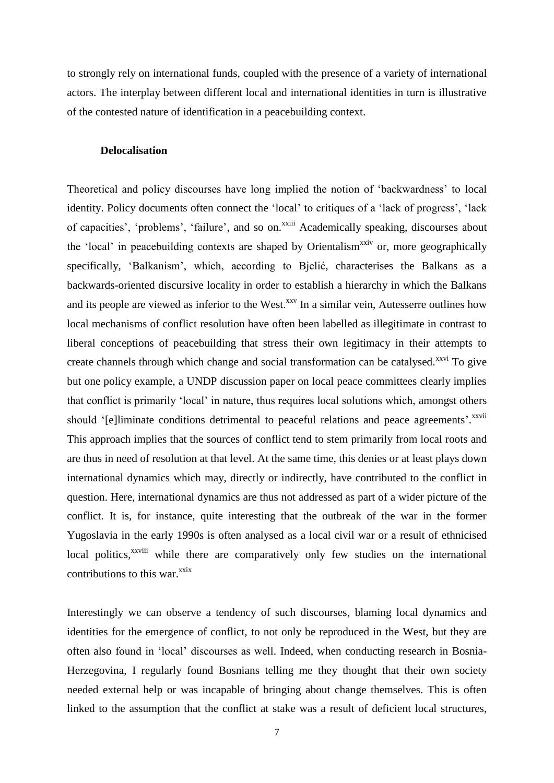to strongly rely on international funds, coupled with the presence of a variety of international actors. The interplay between different local and international identities in turn is illustrative of the contested nature of identification in a peacebuilding context.

### **Delocalisation**

Theoretical and policy discourses have long implied the notion of 'backwardness' to local identity. Policy documents often connect the 'local' to critiques of a 'lack of progress', 'lack of capacities', 'problems', 'failure', and so on.<sup>xxiii</sup> Academically speaking, discourses about the 'local' in peacebuilding contexts are shaped by Orientalism<sup>xxiv</sup> or, more geographically specifically, 'Balkanism', which, according to Bjelić, characterises the Balkans as a backwards-oriented discursive locality in order to establish a hierarchy in which the Balkans and its people are viewed as inferior to the West.<sup>xxv</sup> In a similar vein, Autesserre outlines how local mechanisms of conflict resolution have often been labelled as illegitimate in contrast to liberal conceptions of peacebuilding that stress their own legitimacy in their attempts to create channels through which change and social transformation can be catalysed.<sup>xxvi</sup> To give but one policy example, a UNDP discussion paper on local peace committees clearly implies that conflict is primarily 'local' in nature, thus requires local solutions which, amongst others should '[e]liminate conditions detrimental to peaceful relations and peace agreements'.<sup>xxvii</sup> This approach implies that the sources of conflict tend to stem primarily from local roots and are thus in need of resolution at that level. At the same time, this denies or at least plays down international dynamics which may, directly or indirectly, have contributed to the conflict in question. Here, international dynamics are thus not addressed as part of a wider picture of the conflict. It is, for instance, quite interesting that the outbreak of the war in the former Yugoslavia in the early 1990s is often analysed as a local civil war or a result of ethnicised local politics,<sup>xxviii</sup> while there are comparatively only few studies on the international contributions to this war.<sup>xxix</sup>

Interestingly we can observe a tendency of such discourses, blaming local dynamics and identities for the emergence of conflict, to not only be reproduced in the West, but they are often also found in 'local' discourses as well. Indeed, when conducting research in Bosnia-Herzegovina, I regularly found Bosnians telling me they thought that their own society needed external help or was incapable of bringing about change themselves. This is often linked to the assumption that the conflict at stake was a result of deficient local structures,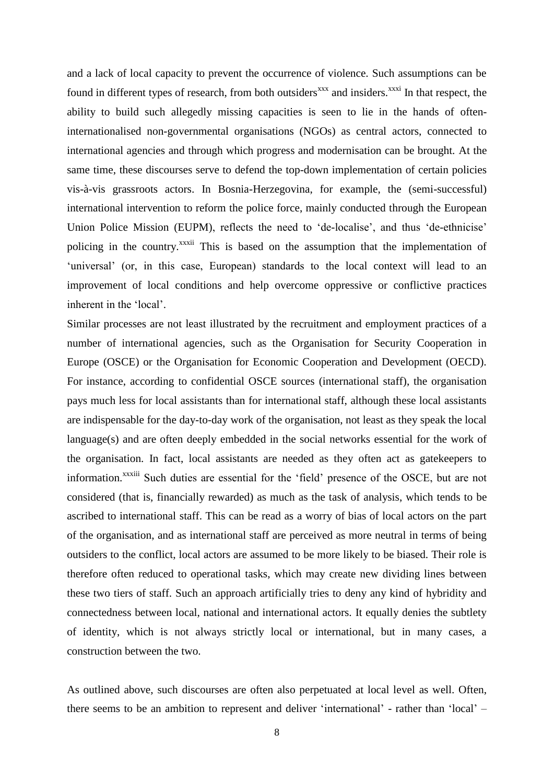and a lack of local capacity to prevent the occurrence of violence. Such assumptions can be found in different types of research, from both outsiders<sup>xxx</sup> and insiders.<sup>xxxi</sup> In that respect, the ability to build such allegedly missing capacities is seen to lie in the hands of ofteninternationalised non-governmental organisations (NGOs) as central actors, connected to international agencies and through which progress and modernisation can be brought. At the same time, these discourses serve to defend the top-down implementation of certain policies vis-à-vis grassroots actors. In Bosnia-Herzegovina, for example, the (semi-successful) international intervention to reform the police force, mainly conducted through the European Union Police Mission (EUPM), reflects the need to 'de-localise', and thus 'de-ethnicise' policing in the country.<sup>xxxii</sup> This is based on the assumption that the implementation of 'universal' (or, in this case, European) standards to the local context will lead to an improvement of local conditions and help overcome oppressive or conflictive practices inherent in the 'local'.

Similar processes are not least illustrated by the recruitment and employment practices of a number of international agencies, such as the Organisation for Security Cooperation in Europe (OSCE) or the Organisation for Economic Cooperation and Development (OECD). For instance, according to confidential OSCE sources (international staff), the organisation pays much less for local assistants than for international staff, although these local assistants are indispensable for the day-to-day work of the organisation, not least as they speak the local language(s) and are often deeply embedded in the social networks essential for the work of the organisation. In fact, local assistants are needed as they often act as gatekeepers to information.<sup>xxxiii</sup> Such duties are essential for the 'field' presence of the OSCE, but are not considered (that is, financially rewarded) as much as the task of analysis, which tends to be ascribed to international staff. This can be read as a worry of bias of local actors on the part of the organisation, and as international staff are perceived as more neutral in terms of being outsiders to the conflict, local actors are assumed to be more likely to be biased. Their role is therefore often reduced to operational tasks, which may create new dividing lines between these two tiers of staff. Such an approach artificially tries to deny any kind of hybridity and connectedness between local, national and international actors. It equally denies the subtlety of identity, which is not always strictly local or international, but in many cases, a construction between the two.

As outlined above, such discourses are often also perpetuated at local level as well. Often, there seems to be an ambition to represent and deliver 'international' - rather than 'local' –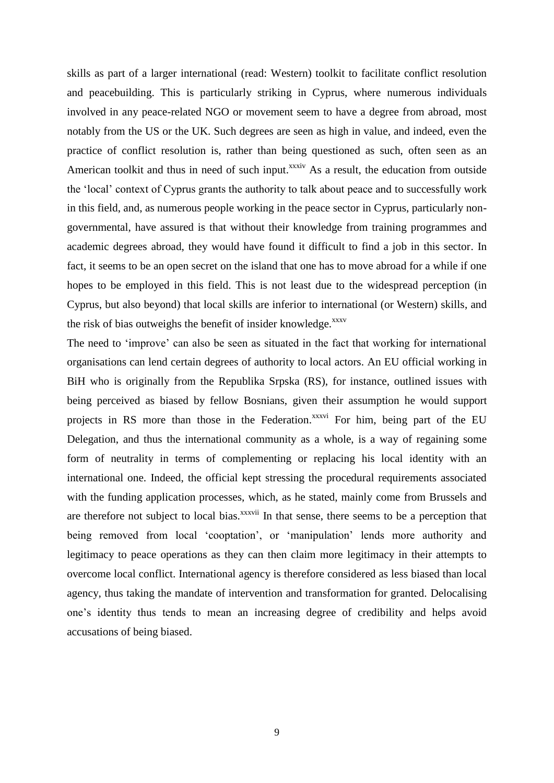skills as part of a larger international (read: Western) toolkit to facilitate conflict resolution and peacebuilding. This is particularly striking in Cyprus, where numerous individuals involved in any peace-related NGO or movement seem to have a degree from abroad, most notably from the US or the UK. Such degrees are seen as high in value, and indeed, even the practice of conflict resolution is, rather than being questioned as such, often seen as an American toolkit and thus in need of such input.<sup>xxxiv</sup> As a result, the education from outside the 'local' context of Cyprus grants the authority to talk about peace and to successfully work in this field, and, as numerous people working in the peace sector in Cyprus, particularly nongovernmental, have assured is that without their knowledge from training programmes and academic degrees abroad, they would have found it difficult to find a job in this sector. In fact, it seems to be an open secret on the island that one has to move abroad for a while if one hopes to be employed in this field. This is not least due to the widespread perception (in Cyprus, but also beyond) that local skills are inferior to international (or Western) skills, and the risk of bias outweighs the benefit of insider knowledge.<sup>xxxv</sup>

The need to 'improve' can also be seen as situated in the fact that working for international organisations can lend certain degrees of authority to local actors. An EU official working in BiH who is originally from the Republika Srpska (RS), for instance, outlined issues with being perceived as biased by fellow Bosnians, given their assumption he would support projects in RS more than those in the Federation.<sup>xxxvi</sup> For him, being part of the EU Delegation, and thus the international community as a whole, is a way of regaining some form of neutrality in terms of complementing or replacing his local identity with an international one. Indeed, the official kept stressing the procedural requirements associated with the funding application processes, which, as he stated, mainly come from Brussels and are therefore not subject to local bias.<sup>xxxvii</sup> In that sense, there seems to be a perception that being removed from local 'cooptation', or 'manipulation' lends more authority and legitimacy to peace operations as they can then claim more legitimacy in their attempts to overcome local conflict. International agency is therefore considered as less biased than local agency, thus taking the mandate of intervention and transformation for granted. Delocalising one's identity thus tends to mean an increasing degree of credibility and helps avoid accusations of being biased.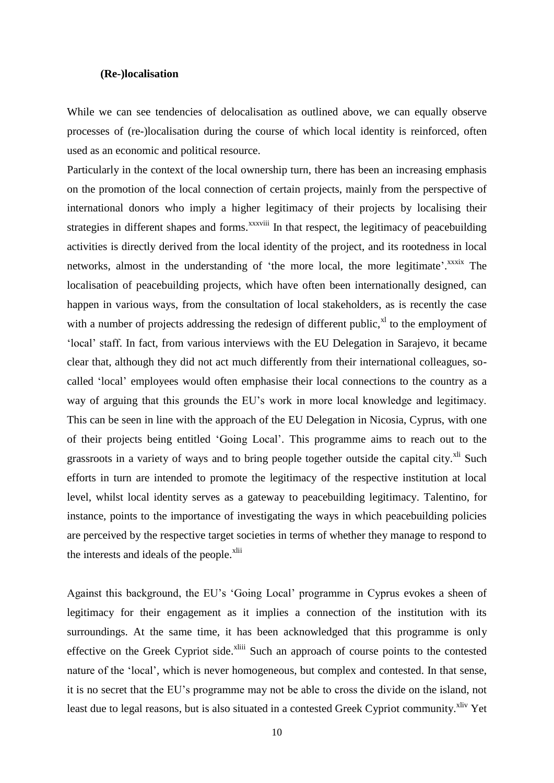#### **(Re-)localisation**

While we can see tendencies of delocalisation as outlined above, we can equally observe processes of (re-)localisation during the course of which local identity is reinforced, often used as an economic and political resource.

Particularly in the context of the local ownership turn, there has been an increasing emphasis on the promotion of the local connection of certain projects, mainly from the perspective of international donors who imply a higher legitimacy of their projects by localising their strategies in different shapes and forms.<sup>xxxviii</sup> In that respect, the legitimacy of peacebuilding activities is directly derived from the local identity of the project, and its rootedness in local networks, almost in the understanding of 'the more local, the more legitimate'.<sup>xxxix</sup> The localisation of peacebuilding projects, which have often been internationally designed, can happen in various ways, from the consultation of local stakeholders, as is recently the case with a number of projects addressing the redesign of different public, $x<sup>1</sup>$  to the employment of 'local' staff. In fact, from various interviews with the EU Delegation in Sarajevo, it became clear that, although they did not act much differently from their international colleagues, socalled 'local' employees would often emphasise their local connections to the country as a way of arguing that this grounds the EU's work in more local knowledge and legitimacy. This can be seen in line with the approach of the EU Delegation in Nicosia, Cyprus, with one of their projects being entitled 'Going Local'. This programme aims to reach out to the grassroots in a variety of ways and to bring people together outside the capital city.<sup>xli</sup> Such efforts in turn are intended to promote the legitimacy of the respective institution at local level, whilst local identity serves as a gateway to peacebuilding legitimacy. Talentino, for instance, points to the importance of investigating the ways in which peacebuilding policies are perceived by the respective target societies in terms of whether they manage to respond to the interests and ideals of the people. $x^{\text{li}i}$ 

Against this background, the EU's 'Going Local' programme in Cyprus evokes a sheen of legitimacy for their engagement as it implies a connection of the institution with its surroundings. At the same time, it has been acknowledged that this programme is only effective on the Greek Cypriot side.<sup>xliii</sup> Such an approach of course points to the contested nature of the 'local', which is never homogeneous, but complex and contested. In that sense, it is no secret that the EU's programme may not be able to cross the divide on the island, not least due to legal reasons, but is also situated in a contested Greek Cypriot community.<sup>xliv</sup> Yet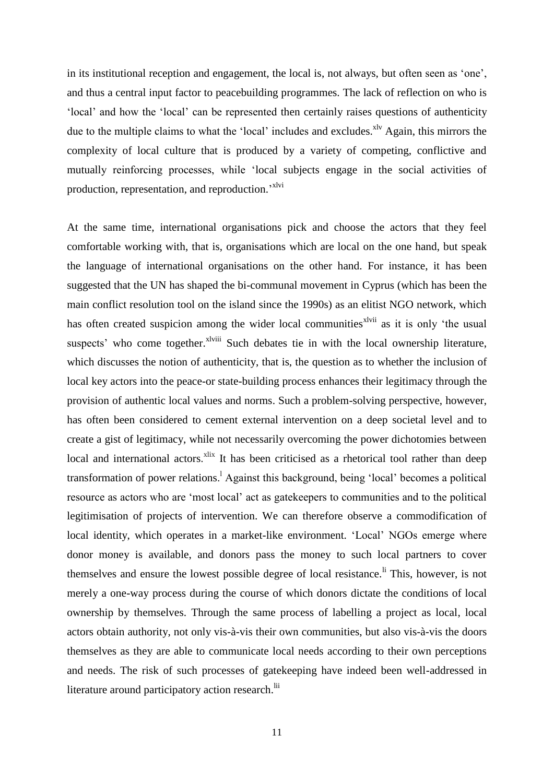in its institutional reception and engagement, the local is, not always, but often seen as 'one', and thus a central input factor to peacebuilding programmes. The lack of reflection on who is 'local' and how the 'local' can be represented then certainly raises questions of authenticity due to the multiple claims to what the 'local' includes and excludes.<sup>XIV</sup> Again, this mirrors the complexity of local culture that is produced by a variety of competing, conflictive and mutually reinforcing processes, while 'local subjects engage in the social activities of production, representation, and reproduction.<sup>'xlvi</sup>

At the same time, international organisations pick and choose the actors that they feel comfortable working with, that is, organisations which are local on the one hand, but speak the language of international organisations on the other hand. For instance, it has been suggested that the UN has shaped the bi-communal movement in Cyprus (which has been the main conflict resolution tool on the island since the 1990s) as an elitist NGO network, which has often created suspicion among the wider local communities<sup>xlvii</sup> as it is only 'the usual suspects' who come together. Xlviii Such debates tie in with the local ownership literature, which discusses the notion of authenticity, that is, the question as to whether the inclusion of local key actors into the peace-or state-building process enhances their legitimacy through the provision of authentic local values and norms. Such a problem-solving perspective, however, has often been considered to cement external intervention on a deep societal level and to create a gist of legitimacy, while not necessarily overcoming the power dichotomies between local and international actors.<sup>xlix</sup> It has been criticised as a rhetorical tool rather than deep transformation of power relations.<sup>1</sup> Against this background, being 'local' becomes a political resource as actors who are 'most local' act as gatekeepers to communities and to the political legitimisation of projects of intervention. We can therefore observe a commodification of local identity, which operates in a market-like environment. 'Local' NGOs emerge where donor money is available, and donors pass the money to such local partners to cover themselves and ensure the lowest possible degree of local resistance.<sup>li</sup> This, however, is not merely a one-way process during the course of which donors dictate the conditions of local ownership by themselves. Through the same process of labelling a project as local, local actors obtain authority, not only vis-à-vis their own communities, but also vis-à-vis the doors themselves as they are able to communicate local needs according to their own perceptions and needs. The risk of such processes of gatekeeping have indeed been well-addressed in literature around participatory action research.<sup>lii</sup>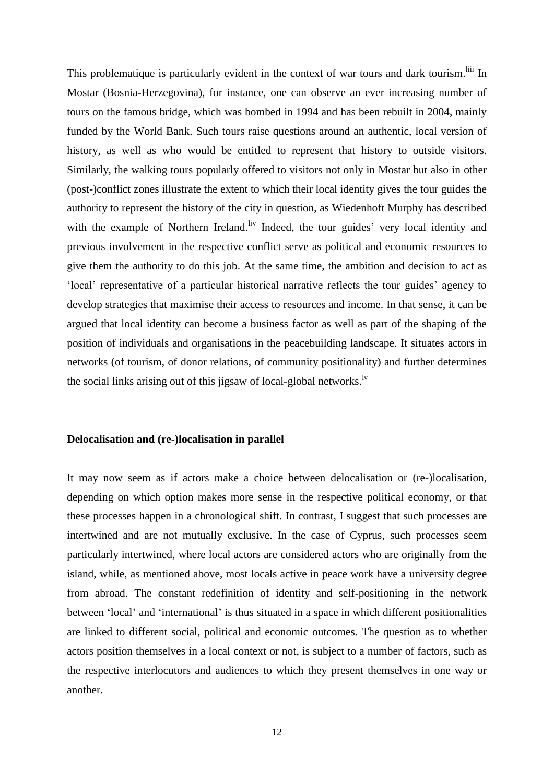This problematique is particularly evident in the context of war tours and dark tourism.<sup>liii</sup> In Mostar (Bosnia-Herzegovina), for instance, one can observe an ever increasing number of tours on the famous bridge, which was bombed in 1994 and has been rebuilt in 2004, mainly funded by the World Bank. Such tours raise questions around an authentic, local version of history, as well as who would be entitled to represent that history to outside visitors. Similarly, the walking tours popularly offered to visitors not only in Mostar but also in other (post-)conflict zones illustrate the extent to which their local identity gives the tour guides the authority to represent the history of the city in question, as Wiedenhoft Murphy has described with the example of Northern Ireland. Iv Indeed, the tour guides' very local identity and previous involvement in the respective conflict serve as political and economic resources to give them the authority to do this job. At the same time, the ambition and decision to act as 'local' representative of a particular historical narrative reflects the tour guides' agency to develop strategies that maximise their access to resources and income. In that sense, it can be argued that local identity can become a business factor as well as part of the shaping of the position of individuals and organisations in the peacebuilding landscape. It situates actors in networks (of tourism, of donor relations, of community positionality) and further determines the social links arising out of this jigsaw of local-global networks.<sup>1v</sup>

#### **Delocalisation and (re-)localisation in parallel**

It may now seem as if actors make a choice between delocalisation or (re-)localisation, depending on which option makes more sense in the respective political economy, or that these processes happen in a chronological shift. In contrast, I suggest that such processes are intertwined and are not mutually exclusive. In the case of Cyprus, such processes seem particularly intertwined, where local actors are considered actors who are originally from the island, while, as mentioned above, most locals active in peace work have a university degree from abroad. The constant redefinition of identity and self-positioning in the network between 'local' and 'international' is thus situated in a space in which different positionalities are linked to different social, political and economic outcomes. The question as to whether actors position themselves in a local context or not, is subject to a number of factors, such as the respective interlocutors and audiences to which they present themselves in one way or another.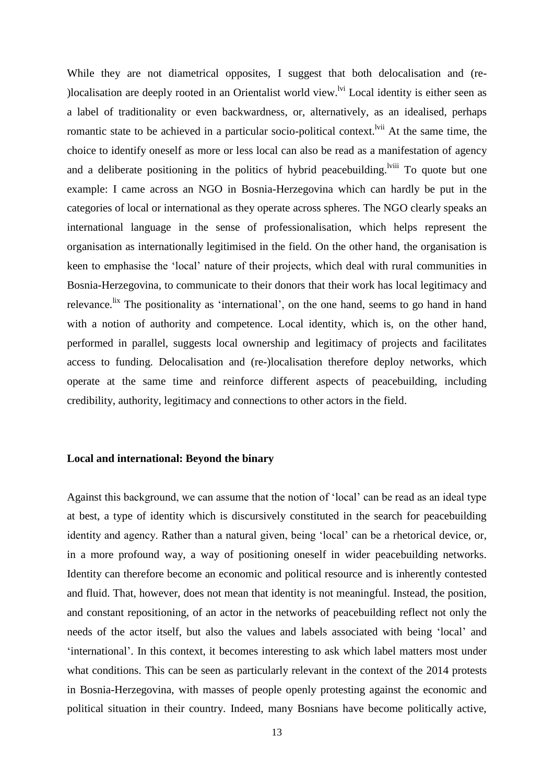While they are not diametrical opposites, I suggest that both delocalisation and (re- )localisation are deeply rooted in an Orientalist world view.<sup>1vi</sup> Local identity is either seen as a label of traditionality or even backwardness, or, alternatively, as an idealised, perhaps romantic state to be achieved in a particular socio-political context.<sup>Ivii</sup> At the same time, the choice to identify oneself as more or less local can also be read as a manifestation of agency and a deliberate positioning in the politics of hybrid peacebuilding.<sup>Iviii</sup> To quote but one example: I came across an NGO in Bosnia-Herzegovina which can hardly be put in the categories of local or international as they operate across spheres. The NGO clearly speaks an international language in the sense of professionalisation, which helps represent the organisation as internationally legitimised in the field. On the other hand, the organisation is keen to emphasise the 'local' nature of their projects, which deal with rural communities in Bosnia-Herzegovina, to communicate to their donors that their work has local legitimacy and relevance. <sup>lix</sup> The positionality as 'international', on the one hand, seems to go hand in hand with a notion of authority and competence. Local identity, which is, on the other hand, performed in parallel, suggests local ownership and legitimacy of projects and facilitates access to funding. Delocalisation and (re-)localisation therefore deploy networks, which operate at the same time and reinforce different aspects of peacebuilding, including credibility, authority, legitimacy and connections to other actors in the field.

#### **Local and international: Beyond the binary**

Against this background, we can assume that the notion of 'local' can be read as an ideal type at best, a type of identity which is discursively constituted in the search for peacebuilding identity and agency. Rather than a natural given, being 'local' can be a rhetorical device, or, in a more profound way, a way of positioning oneself in wider peacebuilding networks. Identity can therefore become an economic and political resource and is inherently contested and fluid. That, however, does not mean that identity is not meaningful. Instead, the position, and constant repositioning, of an actor in the networks of peacebuilding reflect not only the needs of the actor itself, but also the values and labels associated with being 'local' and 'international'. In this context, it becomes interesting to ask which label matters most under what conditions. This can be seen as particularly relevant in the context of the 2014 protests in Bosnia-Herzegovina, with masses of people openly protesting against the economic and political situation in their country. Indeed, many Bosnians have become politically active,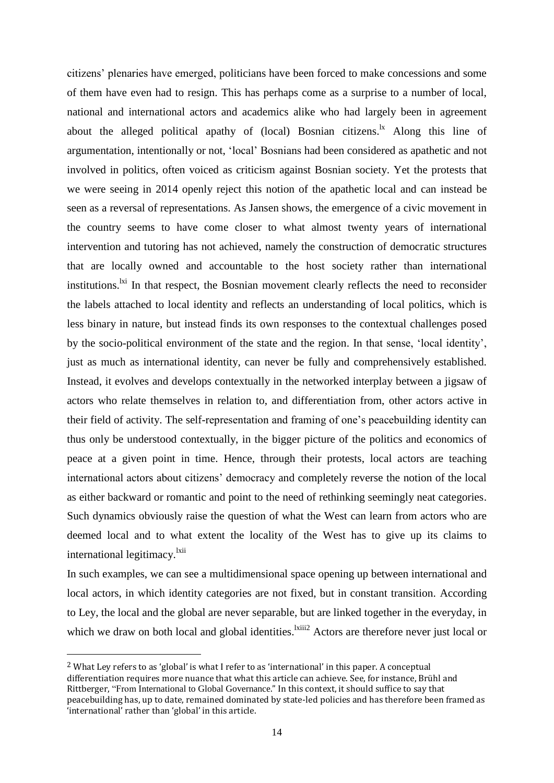citizens' plenaries have emerged, politicians have been forced to make concessions and some of them have even had to resign. This has perhaps come as a surprise to a number of local, national and international actors and academics alike who had largely been in agreement about the alleged political apathy of  $(local)$  Bosnian citizens.<sup>1x</sup> Along this line of argumentation, intentionally or not, 'local' Bosnians had been considered as apathetic and not involved in politics, often voiced as criticism against Bosnian society. Yet the protests that we were seeing in 2014 openly reject this notion of the apathetic local and can instead be seen as a reversal of representations. As Jansen shows, the emergence of a civic movement in the country seems to have come closer to what almost twenty years of international intervention and tutoring has not achieved, namely the construction of democratic structures that are locally owned and accountable to the host society rather than international institutions.<sup>Ixi</sup> In that respect, the Bosnian movement clearly reflects the need to reconsider the labels attached to local identity and reflects an understanding of local politics, which is less binary in nature, but instead finds its own responses to the contextual challenges posed by the socio-political environment of the state and the region. In that sense, 'local identity', just as much as international identity, can never be fully and comprehensively established. Instead, it evolves and develops contextually in the networked interplay between a jigsaw of actors who relate themselves in relation to, and differentiation from, other actors active in their field of activity. The self-representation and framing of one's peacebuilding identity can thus only be understood contextually, in the bigger picture of the politics and economics of peace at a given point in time. Hence, through their protests, local actors are teaching international actors about citizens' democracy and completely reverse the notion of the local as either backward or romantic and point to the need of rethinking seemingly neat categories. Such dynamics obviously raise the question of what the West can learn from actors who are deemed local and to what extent the locality of the West has to give up its claims to international legitimacy. ${}^{l*xii}*$ 

In such examples, we can see a multidimensional space opening up between international and local actors, in which identity categories are not fixed, but in constant transition. According to Ley, the local and the global are never separable, but are linked together in the everyday, in which we draw on both local and global identities.<sup>[kiii2</sup> Actors are therefore never just local or

**.** 

<sup>2</sup> What Ley refers to as 'global' is what I refer to as 'international' in this paper. A conceptual differentiation requires more nuance that what this article can achieve. See, for instance, Brühl and Rittberger, "From International to Global Governance." In this context, it should suffice to say that peacebuilding has, up to date, remained dominated by state-led policies and has therefore been framed as 'international' rather than 'global' in this article.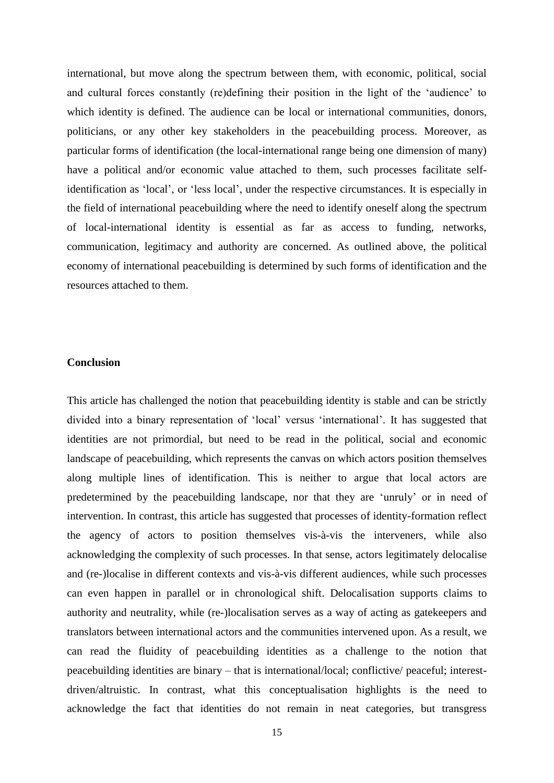international, but move along the spectrum between them, with economic, political, social and cultural forces constantly (re)defining their position in the light of the 'audience' to which identity is defined. The audience can be local or international communities, donors, politicians, or any other key stakeholders in the peacebuilding process. Moreover, as particular forms of identification (the local-international range being one dimension of many) have a political and/or economic value attached to them, such processes facilitate selfidentification as 'local', or 'less local', under the respective circumstances. It is especially in the field of international peacebuilding where the need to identify oneself along the spectrum of local-international identity is essential as far as access to funding, networks, communication, legitimacy and authority are concerned. As outlined above, the political economy of international peacebuilding is determined by such forms of identification and the resources attached to them.

# **Conclusion**

This article has challenged the notion that peacebuilding identity is stable and can be strictly divided into a binary representation of 'local' versus 'international'. It has suggested that identities are not primordial, but need to be read in the political, social and economic landscape of peacebuilding, which represents the canvas on which actors position themselves along multiple lines of identification. This is neither to argue that local actors are predetermined by the peacebuilding landscape, nor that they are 'unruly' or in need of intervention. In contrast, this article has suggested that processes of identity-formation reflect the agency of actors to position themselves vis-à-vis the interveners, while also acknowledging the complexity of such processes. In that sense, actors legitimately delocalise and (re-)localise in different contexts and vis-à-vis different audiences, while such processes can even happen in parallel or in chronological shift. Delocalisation supports claims to authority and neutrality, while (re-)localisation serves as a way of acting as gatekeepers and translators between international actors and the communities intervened upon. As a result, we can read the fluidity of peacebuilding identities as a challenge to the notion that peacebuilding identities are binary – that is international/local; conflictive/ peaceful; interestdriven/altruistic. In contrast, what this conceptualisation highlights is the need to acknowledge the fact that identities do not remain in neat categories, but transgress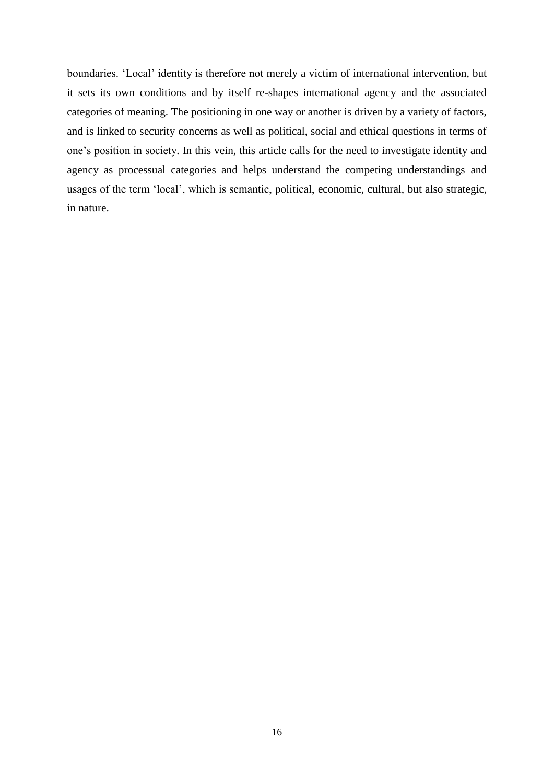boundaries. 'Local' identity is therefore not merely a victim of international intervention, but it sets its own conditions and by itself re-shapes international agency and the associated categories of meaning. The positioning in one way or another is driven by a variety of factors, and is linked to security concerns as well as political, social and ethical questions in terms of one's position in society. In this vein, this article calls for the need to investigate identity and agency as processual categories and helps understand the competing understandings and usages of the term 'local', which is semantic, political, economic, cultural, but also strategic, in nature.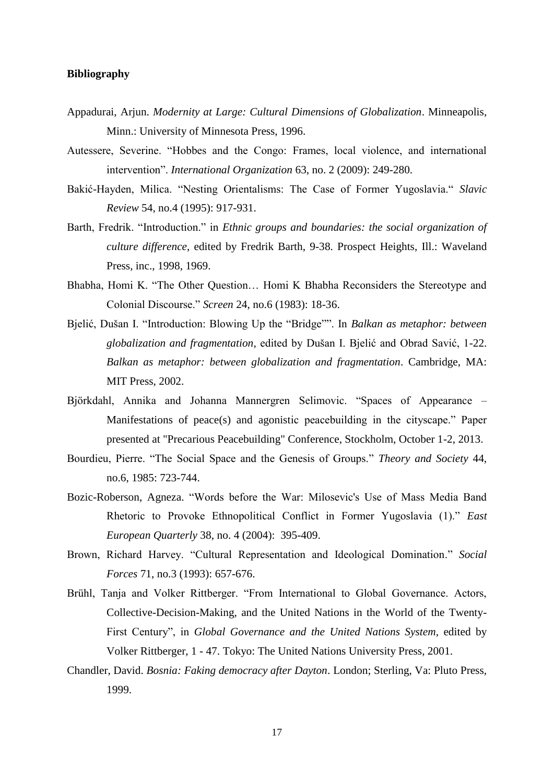#### **Bibliography**

- Appadurai, Arjun. *Modernity at Large: Cultural Dimensions of Globalization*. Minneapolis, Minn.: University of Minnesota Press, 1996.
- Autessere, Severine. "Hobbes and the Congo: Frames, local violence, and international intervention". *International Organization* 63, no. 2 (2009): 249-280.
- Bakić-Hayden, Milica. "Nesting Orientalisms: The Case of Former Yugoslavia." *Slavic Review* 54, no.4 (1995): 917-931.
- Barth, Fredrik. "Introduction." in *Ethnic groups and boundaries: the social organization of culture difference*, edited by Fredrik Barth, 9-38. Prospect Heights, Ill.: Waveland Press, inc., 1998, 1969.
- Bhabha, Homi K. "The Other Question… Homi K Bhabha Reconsiders the Stereotype and Colonial Discourse." *Screen* 24, no.6 (1983): 18-36.
- Bjelić, Dušan I. "Introduction: Blowing Up the "Bridge"". In *Balkan as metaphor: between globalization and fragmentation*, edited by Dušan I. Bjelić and Obrad Savić, 1-22. *Balkan as metaphor: between globalization and fragmentation*. Cambridge, MA: MIT Press, 2002.
- Björkdahl, Annika and Johanna Mannergren Selimovic. "Spaces of Appearance Manifestations of peace(s) and agonistic peacebuilding in the cityscape." Paper presented at "Precarious Peacebuilding" Conference, Stockholm, October 1-2, 2013.
- Bourdieu, Pierre. "The Social Space and the Genesis of Groups." *Theory and Society* 44, no.6, 1985: 723-744.
- Bozic-Roberson, Agneza. "Words before the War: Milosevic's Use of Mass Media Band Rhetoric to Provoke Ethnopolitical Conflict in Former Yugoslavia (1)." *East European Quarterly* 38, no. 4 (2004): 395-409.
- Brown, Richard Harvey. "Cultural Representation and Ideological Domination." *Social Forces* 71, no.3 (1993): 657-676.
- Brühl, Tanja and Volker Rittberger. "From International to Global Governance. Actors, Collective-Decision-Making, and the United Nations in the World of the Twenty-First Century", in *Global Governance and the United Nations System*, edited by Volker Rittberger, 1 - 47. Tokyo: The United Nations University Press, 2001.
- Chandler, David. *Bosnia: Faking democracy after Dayton*. London; Sterling, Va: Pluto Press, 1999.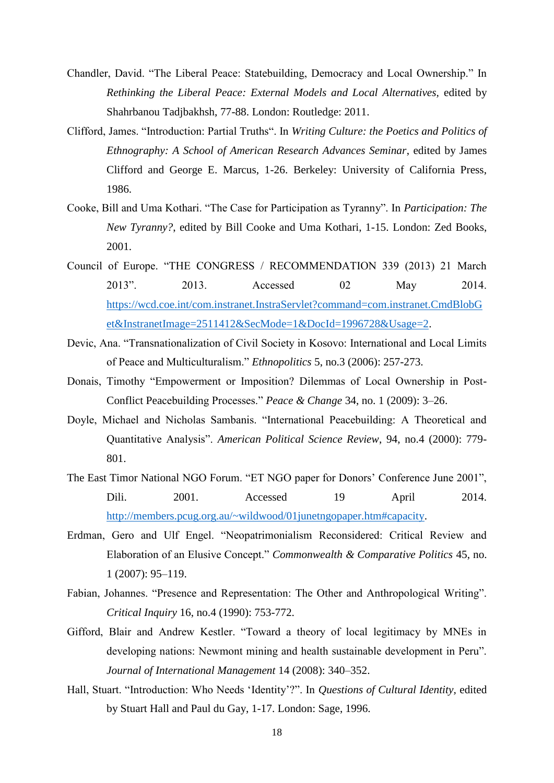- Chandler, David. "The Liberal Peace: Statebuilding, Democracy and Local Ownership." In *Rethinking the Liberal Peace: External Models and Local Alternatives,* edited by Shahrbanou Tadjbakhsh, 77-88. London: Routledge: 2011.
- Clifford, James. "Introduction: Partial Truths". In *Writing Culture: the Poetics and Politics of Ethnography: A School of American Research Advances Seminar*, edited by James Clifford and George E. Marcus, 1-26. Berkeley: University of California Press, 1986.
- Cooke, Bill and Uma Kothari. "The Case for Participation as Tyranny". In *Participation: The New Tyranny?*, edited by Bill Cooke and Uma Kothari, 1-15. London: Zed Books, 2001.
- Council of Europe. "THE CONGRESS / RECOMMENDATION 339 (2013) 21 March 2013". 2013. Accessed 02 May 2014. [https://wcd.coe.int/com.instranet.InstraServlet?command=com.instranet.CmdBlobG](https://wcd.coe.int/com.instranet.InstraServlet?command=com.instranet.CmdBlobGet&InstranetImage=2511412&SecMode=1&DocId=1996728&Usage=2) [et&InstranetImage=2511412&SecMode=1&DocId=1996728&Usage=2.](https://wcd.coe.int/com.instranet.InstraServlet?command=com.instranet.CmdBlobGet&InstranetImage=2511412&SecMode=1&DocId=1996728&Usage=2)
- Devic, Ana. "Transnationalization of Civil Society in Kosovo: International and Local Limits of Peace and Multiculturalism." *Ethnopolitics* 5, no.3 (2006): 257-273.
- Donais, Timothy "Empowerment or Imposition? Dilemmas of Local Ownership in Post-Conflict Peacebuilding Processes." *Peace & Change* 34, no. 1 (2009): 3–26.
- Doyle, Michael and Nicholas Sambanis. "International Peacebuilding: A Theoretical and Quantitative Analysis". *American Political Science Review*, 94, no.4 (2000): 779- 801.
- The East Timor National NGO Forum. "ET NGO paper for Donors' Conference June 2001", Dili. 2001. Accessed 19 April 2014. [http://members.pcug.org.au/~wildwood/01junetngopaper.htm#capacity.](http://members.pcug.org.au/~wildwood/01junetngopaper.htm#capacity)
- Erdman, Gero and Ulf Engel. "Neopatrimonialism Reconsidered: Critical Review and Elaboration of an Elusive Concept." *Commonwealth & Comparative Politics* 45, no. 1 (2007): 95–119.
- Fabian, Johannes. "Presence and Representation: The Other and Anthropological Writing". *Critical Inquiry* 16, no.4 (1990): 753-772.
- Gifford, Blair and Andrew Kestler. "Toward a theory of local legitimacy by MNEs in developing nations: Newmont mining and health sustainable development in Peru". *Journal of International Management* 14 (2008): 340–352.
- Hall, Stuart. "Introduction: Who Needs 'Identity'?". In *Questions of Cultural Identity,* edited by Stuart Hall and Paul du Gay, 1-17. London: Sage, 1996.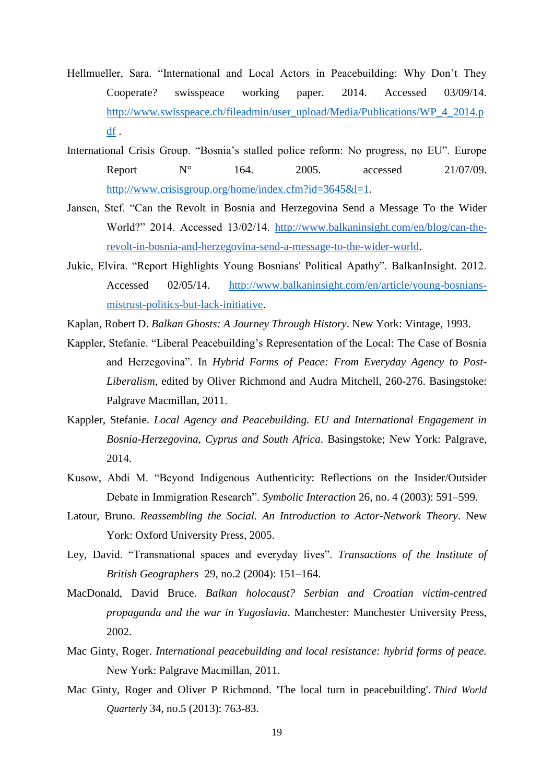- Hellmueller, Sara. "International and Local Actors in Peacebuilding: Why Don't They Cooperate? swisspeace working paper. 2014. Accessed 03/09/14. [http://www.swisspeace.ch/fileadmin/user\\_upload/Media/Publications/WP\\_4\\_2014.p](http://www.swisspeace.ch/fileadmin/user_upload/Media/Publications/WP_4_2014.pdf) [df](http://www.swisspeace.ch/fileadmin/user_upload/Media/Publications/WP_4_2014.pdf) .
- International Crisis Group. "Bosnia's stalled police reform: No progress, no EU". Europe Report  $N^{\circ}$  164. 2005. accessed 21/07/09. [http://www.crisisgroup.org/home/index.cfm?id=3645&l=1.](http://www.crisisgroup.org/home/index.cfm?id=3645&l=1)
- Jansen, Stef. "Can the Revolt in Bosnia and Herzegovina Send a Message To the Wider World?" 2014. Accessed 13/02/14. [http://www.balkaninsight.com/en/blog/can-the](http://www.balkaninsight.com/en/blog/can-the-revolt-in-bosnia-and-herzegovina-send-a-message-to-the-wider-world)[revolt-in-bosnia-and-herzegovina-send-a-message-to-the-wider-world.](http://www.balkaninsight.com/en/blog/can-the-revolt-in-bosnia-and-herzegovina-send-a-message-to-the-wider-world)
- Jukic, Elvira. "Report Highlights Young Bosnians' Political Apathy". BalkanInsight. 2012. Accessed 02/05/14. [http://www.balkaninsight.com/en/article/young-bosnians](http://www.balkaninsight.com/en/article/young-bosnians-mistrust-politics-but-lack-initiative)[mistrust-politics-but-lack-initiative.](http://www.balkaninsight.com/en/article/young-bosnians-mistrust-politics-but-lack-initiative)
- Kaplan, Robert D. *Balkan Ghosts: A Journey Through History*. New York: Vintage, 1993.
- Kappler, Stefanie. "Liberal Peacebuilding's Representation of the Local: The Case of Bosnia and Herzegovina". In *Hybrid Forms of Peace: From Everyday Agency to Post-Liberalism*, edited by Oliver Richmond and Audra Mitchell, 260-276. Basingstoke: Palgrave Macmillan, 2011.
- Kappler, Stefanie. *Local Agency and Peacebuilding. EU and International Engagement in Bosnia-Herzegovina, Cyprus and South Africa*. Basingstoke; New York: Palgrave, 2014.
- Kusow, Abdi M. "Beyond Indigenous Authenticity: Reflections on the Insider/Outsider Debate in Immigration Research". *Symbolic Interaction* 26, no. 4 (2003): 591–599.
- Latour, Bruno. *Reassembling the Social. An Introduction to Actor-Network Theory*. New York: Oxford University Press, 2005.
- Ley, David. "Transnational spaces and everyday lives". *Transactions of the Institute of British Geographers* 29, no.2 (2004): 151–164.
- MacDonald, David Bruce. *Balkan holocaust? Serbian and Croatian victim-centred propaganda and the war in Yugoslavia*. Manchester: Manchester University Press, 2002.
- Mac Ginty, Roger. *International peacebuilding and local resistance: hybrid forms of peace.*  New York: Palgrave Macmillan, 2011.
- Mac Ginty, Roger and Oliver P Richmond. 'The local turn in peacebuilding'. *Third World Quarterly* 34, no.5 (2013): 763-83.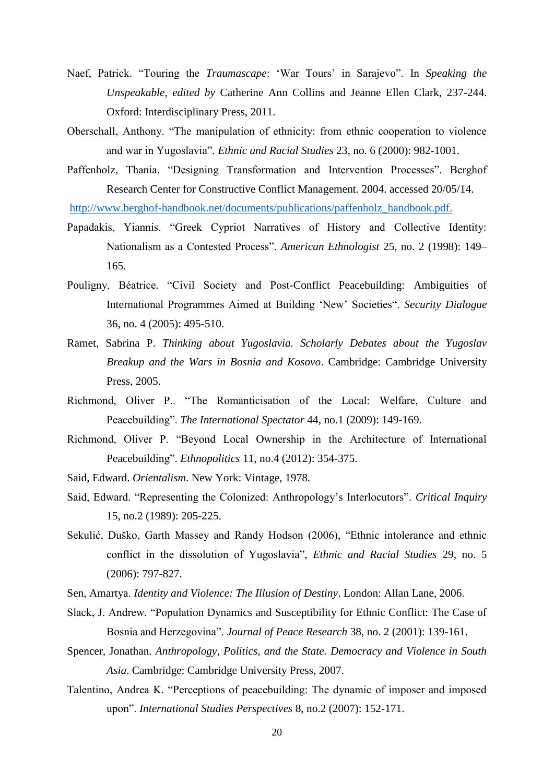- Naef, Patrick. "Touring the *Traumascape*: 'War Tours' in Sarajevo". In *Speaking the Unspeakable, edited by* Catherine Ann Collins and Jeanne Ellen Clark, 237-244. Oxford: Interdisciplinary Press, 2011.
- Oberschall, Anthony. "The manipulation of ethnicity: from ethnic cooperation to violence and war in Yugoslavia". *Ethnic and Racial Studies* 23, no. 6 (2000): 982-1001.
- Paffenholz, Thania. "Designing Transformation and Intervention Processes". Berghof Research Center for Constructive Conflict Management. 2004. accessed 20/05/14.

[http://www.berghof-handbook.net/documents/publications/paffenholz\\_handbook.pdf.](http://www.berghof-handbook.net/documents/publications/paffenholz_handbook.pdf)

- Papadakis, Yiannis. "Greek Cypriot Narratives of History and Collective Identity: Nationalism as a Contested Process". *American Ethnologist* 25, no. 2 (1998): 149– 165.
- Pouligny, Béatrice. "Civil Society and Post-Conflict Peacebuilding: Ambiguities of International Programmes Aimed at Building 'New' Societies". *Security Dialogue* 36, no. 4 (2005): 495-510.
- Ramet, Sabrina P. *Thinking about Yugoslavia. Scholarly Debates about the Yugoslav Breakup and the Wars in Bosnia and Kosovo*. Cambridge: Cambridge University Press, 2005.
- Richmond, Oliver P.. "The Romanticisation of the Local: Welfare, Culture and Peacebuilding". *The International Spectator* 44, no.1 (2009): 149-169.
- Richmond, Oliver P. "Beyond Local Ownership in the Architecture of International Peacebuilding". *Ethnopolitics* 11, no.4 (2012): 354-375.
- Said, Edward. *Orientalism*. New York: Vintage, 1978.
- Said, Edward. "Representing the Colonized: Anthropology's Interlocutors". *Critical Inquiry* 15, no.2 (1989): 205-225.
- Sekulić, Duško, Garth Massey and Randy Hodson (2006), "Ethnic intolerance and ethnic conflict in the dissolution of Yugoslavia", *Ethnic and Racial Studies* 29, no. 5 (2006): 797-827.
- Sen, Amartya. *Identity and Violence: The Illusion of Destiny*. London: Allan Lane, 2006.
- Slack, J. Andrew. "Population Dynamics and Susceptibility for Ethnic Conflict: The Case of Bosnia and Herzegovina". *Journal of Peace Research* 38, no. 2 (2001): 139-161.
- Spencer, Jonathan. *Anthropology, Politics, and the State. Democracy and Violence in South Asia*. Cambridge: Cambridge University Press, 2007.
- Talentino, Andrea K. "Perceptions of peacebuilding: The dynamic of imposer and imposed upon". *International Studies Perspectives* 8, no.2 (2007): 152-171.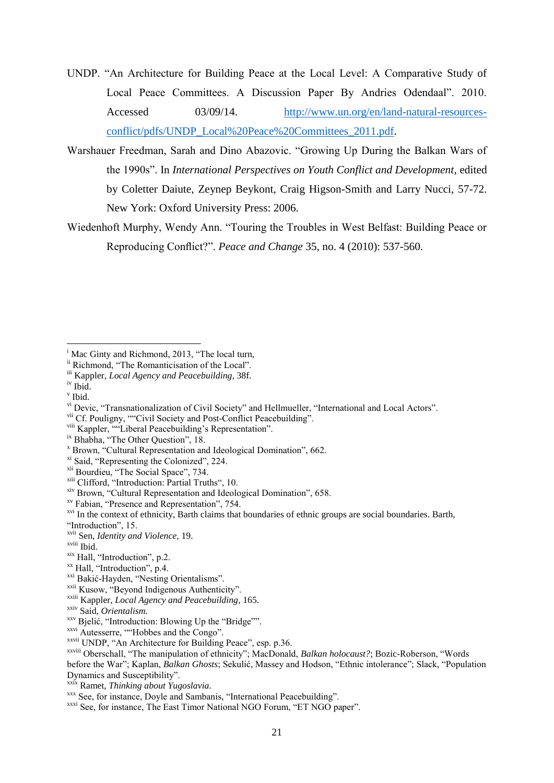UNDP. "An Architecture for Building Peace at the Local Level: A Comparative Study of Local Peace Committees. A Discussion Paper By Andries Odendaal". 2010. Accessed 03/09/14. [http://www.un.org/en/land-natural-resources](http://www.un.org/en/land-natural-resources-conflict/pdfs/UNDP_Local%20Peace%20Committees_2011.pdf)[conflict/pdfs/UNDP\\_Local%20Peace%20Committees\\_2011.pdf.](http://www.un.org/en/land-natural-resources-conflict/pdfs/UNDP_Local%20Peace%20Committees_2011.pdf)

- Warshauer Freedman, Sarah and Dino Abazovic. "Growing Up During the Balkan Wars of the 1990s". In *International Perspectives on Youth Conflict and Development*, edited by Coletter Daiute, Zeynep Beykont, Craig Higson-Smith and Larry Nucci, 57-72. New York: Oxford University Press: 2006.
- Wiedenhoft Murphy, Wendy Ann. "Touring the Troubles in West Belfast: Building Peace or Reproducing Conflict?". *Peace and Change* 35, no. 4 (2010): 537-560.

1

xii Bourdieu, "The Social Space", 734.

<sup>xvi</sup> In the context of ethnicity, Barth claims that boundaries of ethnic groups are social boundaries. Barth, "Introduction", 15.

xvii Sen, *Identity and Violence,* 19.

- xix Hall, "Introduction", p.2.
- $\overline{X}^{\overline{X}}$  Hall, "Introduction", p.4.
- <sup>xxi</sup> Bakić-Hayden, "Nesting Orientalisms".
- xxii Kusow, "Beyond Indigenous Authenticity".
- xxiii Kappler, *Local Agency and Peacebuilding*, 165.
- xxiv Said, *Orientalism.*

xxvi Autesserre, ""Hobbes and the Congo".

xxix Ramet, *Thinking about Yugoslavia.*

<sup>xxxi</sup> See, for instance, The East Timor National NGO Forum, "ET NGO paper".

<sup>&</sup>lt;sup>i</sup> Mac Ginty and Richmond, 2013, "The local turn,

ii Richmond, "The Romanticisation of the Local".

iii Kappler, *Local Agency and Peacebuilding*, 38f.

iv Ibid.

v Ibid.

vi Devic, "Transnationalization of Civil Society" and Hellmueller, "International and Local Actors".

<sup>&</sup>lt;sup>vii</sup> Cf. Pouligny, ""Civil Society and Post-Conflict Peacebuilding".

viii Kappler, ""Liberal Peacebuilding's Representation".

ix Bhabha, "The Other Question", 18.

<sup>x</sup> Brown, "Cultural Representation and Ideological Domination", 662.

xi Said, "Representing the Colonized", 224.

xiii Clifford, "Introduction: Partial Truths", 10.

xiv Brown, "Cultural Representation and Ideological Domination", 658.

xv Fabian, "Presence and Representation", 754.

xviii Ibid.

xxv Bjelić, "Introduction: Blowing Up the "Bridge"".

xxvii UNDP, "An Architecture for Building Peace", esp. p.36.

xxviii Oberschall, "The manipulation of ethnicity"; MacDonald, *Balkan holocaust?*; Bozic-Roberson, "Words before the War"; Kaplan, *Balkan Ghosts*; Sekulić, Massey and Hodson, "Ethnic intolerance"; Slack, "Population Dynamics and Susceptibility".

xxx See, for instance, Doyle and Sambanis, "International Peacebuilding".